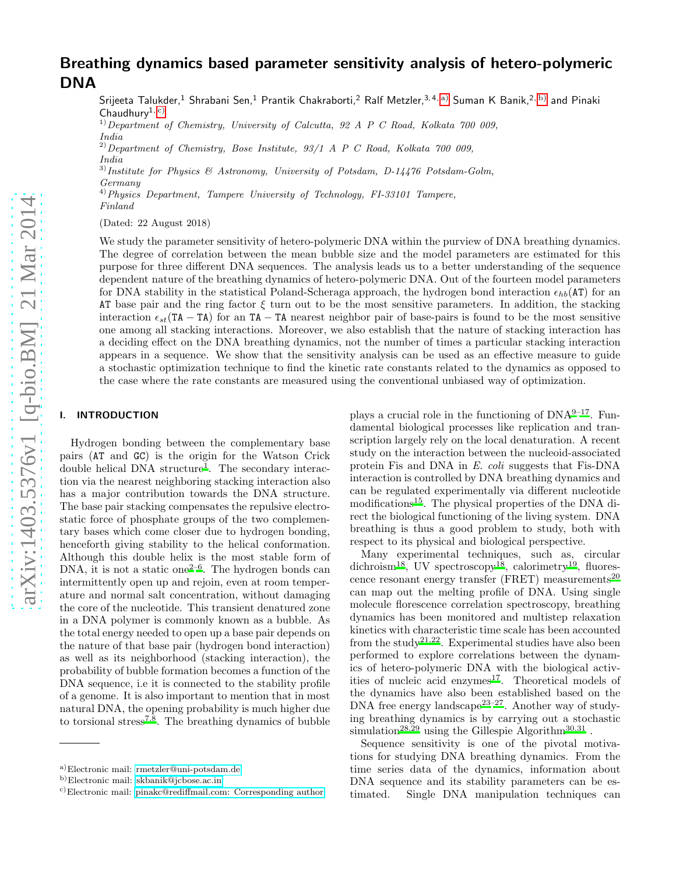# Breathing dynamics based parameter sensitivity analysis of hetero-polymeric DNA

Srijeeta Talukder,<sup>1</sup> Shrabani Sen,<sup>1</sup> Prantik Chakraborti,<sup>2</sup> Ralf Metzler,<sup>3,4, [a\)](#page-0-0)</sup> Suman K Banik,<sup>2, [b\)](#page-0-1)</sup> and Pinaki  $Chaudhurv^{1, c)}$  $Chaudhurv^{1, c)}$  $Chaudhurv^{1, c)}$ 

<sup>1)</sup>Department of Chemistry, University of Calcutta, 92 A P C Road, Kolkata 700 009,

 $^{2)}$ Department of Chemistry, Bose Institute, 93/1 A P C Road, Kolkata 700 009,

India

<sup>3)</sup>Institute for Physics & Astronomy, University of Potsdam, D-14476 Potsdam-Golm, Germany

<sup>4)</sup> Physics Department, Tampere University of Technology, FI-33101 Tampere,

Finland

India

(Dated: 22 August 2018)

We study the parameter sensitivity of hetero-polymeric DNA within the purview of DNA breathing dynamics. The degree of correlation between the mean bubble size and the model parameters are estimated for this purpose for three different DNA sequences. The analysis leads us to a better understanding of the sequence dependent nature of the breathing dynamics of hetero-polymeric DNA. Out of the fourteen model parameters for DNA stability in the statistical Poland-Scheraga approach, the hydrogen bond interaction  $\epsilon_{hb}(AT)$  for an AT base pair and the ring factor  $\xi$  turn out to be the most sensitive parameters. In addition, the stacking interaction  $\epsilon_{st}$ (TA – TA) for an TA – TA nearest neighbor pair of base-pairs is found to be the most sensitive one among all stacking interactions. Moreover, we also establish that the nature of stacking interaction has a deciding effect on the DNA breathing dynamics, not the number of times a particular stacking interaction appears in a sequence. We show that the sensitivity analysis can be used as an effective measure to guide a stochastic optimization technique to find the kinetic rate constants related to the dynamics as opposed to the case where the rate constants are measured using the conventional unbiased way of optimization.

# I. INTRODUCTION

Hydrogen bonding between the complementary base pairs (AT and GC) is the origin for the Watson Crick double helical DNA structure<sup>[1](#page-8-0)</sup>. The secondary interaction via the nearest neighboring stacking interaction also has a major contribution towards the DNA structure. The base pair stacking compensates the repulsive electrostatic force of phosphate groups of the two complementary bases which come closer due to hydrogen bonding, henceforth giving stability to the helical conformation. Although this double helix is the most stable form of  $DNA$ , it is not a static one<sup> $2-6$  $2-6$ </sup>. The hydrogen bonds can intermittently open up and rejoin, even at room temperature and normal salt concentration, without damaging the core of the nucleotide. This transient denatured zone in a DNA polymer is commonly known as a bubble. As the total energy needed to open up a base pair depends on the nature of that base pair (hydrogen bond interaction) as well as its neighborhood (stacking interaction), the probability of bubble formation becomes a function of the DNA sequence, i.e it is connected to the stability profile of a genome. It is also important to mention that in most natural DNA, the opening probability is much higher due to torsional stress<sup>[7](#page-8-3)[,8](#page-8-4)</sup>. The breathing dynamics of bubble plays a crucial role in the functioning of  $DNA<sup>9-17</sup>$  $DNA<sup>9-17</sup>$  $DNA<sup>9-17</sup>$ . Fundamental biological processes like replication and transcription largely rely on the local denaturation. A recent study on the interaction between the nucleoid-associated protein Fis and DNA in E. coli suggests that Fis-DNA interaction is controlled by DNA breathing dynamics and can be regulated experimentally via different nucleotide modifications<sup>[15](#page-8-7)</sup>. The physical properties of the DNA direct the biological functioning of the living system. DNA breathing is thus a good problem to study, both with respect to its physical and biological perspective.

Many experimental techniques, such as, circular dichroism<sup>[18](#page-9-0)</sup>, UV spectroscopy<sup>18</sup>, calorimetry<sup>[19](#page-9-1)</sup>, fluores-cence resonant energy transfer (FRET) measurements<sup>[20](#page-9-2)</sup> can map out the melting profile of DNA. Using single molecule florescence correlation spectroscopy, breathing dynamics has been monitored and multistep relaxation kinetics with characteristic time scale has been accounted from the study<sup>[21](#page-9-3)[,22](#page-9-4)</sup>. Experimental studies have also been performed to explore correlations between the dynamics of hetero-polymeric DNA with the biological activ-ities of nucleic acid enzymes<sup>[17](#page-8-6)</sup>. Theoretical models of the dynamics have also been established based on the DNA free energy landscape<sup>[23](#page-9-5)[–27](#page-9-6)</sup>. Another way of studying breathing dynamics is by carrying out a stochastic simulation<sup>[28](#page-9-7)[,29](#page-9-8)</sup> using the Gillespie Algorithm<sup>[30](#page-9-9)[,31](#page-9-10)</sup>.

Sequence sensitivity is one of the pivotal motivations for studying DNA breathing dynamics. From the time series data of the dynamics, information about DNA sequence and its stability parameters can be estimated. Single DNA manipulation techniques can

<span id="page-0-0"></span>a)Electronic mail: [rmetzler@uni-potsdam.de](mailto:rmetzler@uni-potsdam.de)

<span id="page-0-1"></span>b)Electronic mail: [skbanik@jcbose.ac.in](mailto:skbanik@jcbose.ac.in)

<span id="page-0-2"></span>c)Electronic mail: [pinakc@rediffmail.com: Corresponding author](mailto:pinakc@rediffmail.com: Corresponding author)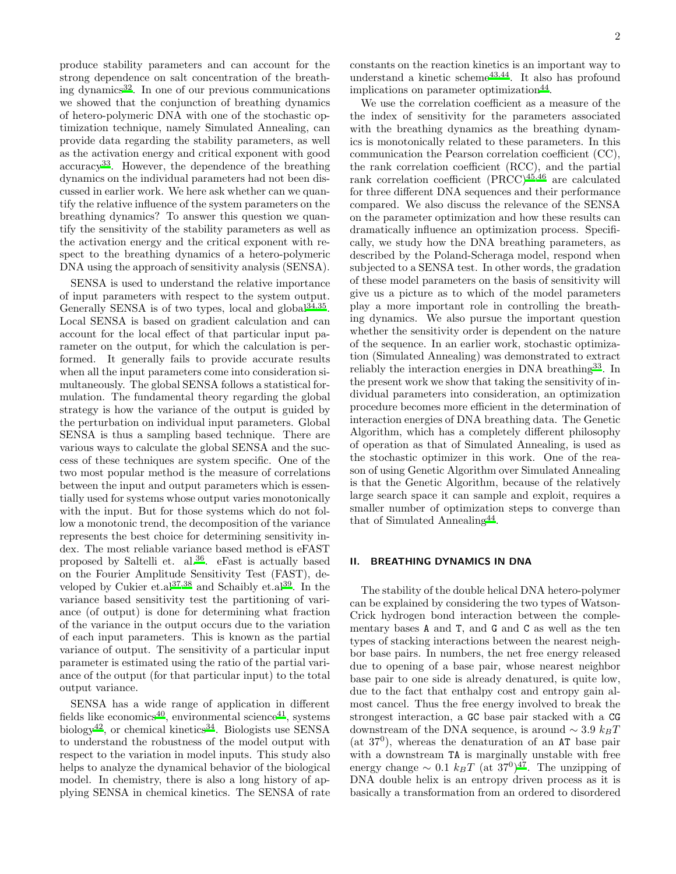produce stability parameters and can account for the strong dependence on salt concentration of the breathing dynamics $32$ . In one of our previous communications we showed that the conjunction of breathing dynamics of hetero-polymeric DNA with one of the stochastic optimization technique, namely Simulated Annealing, can provide data regarding the stability parameters, as well as the activation energy and critical exponent with good accuracy[33](#page-9-12). However, the dependence of the breathing dynamics on the individual parameters had not been discussed in earlier work. We here ask whether can we quantify the relative influence of the system parameters on the breathing dynamics? To answer this question we quantify the sensitivity of the stability parameters as well as the activation energy and the critical exponent with respect to the breathing dynamics of a hetero-polymeric DNA using the approach of sensitivity analysis (SENSA).

SENSA is used to understand the relative importance of input parameters with respect to the system output. Generally SENSA is of two types, local and global<sup>[34](#page-9-13)[,35](#page-9-14)</sup>. Local SENSA is based on gradient calculation and can account for the local effect of that particular input parameter on the output, for which the calculation is performed. It generally fails to provide accurate results when all the input parameters come into consideration simultaneously. The global SENSA follows a statistical formulation. The fundamental theory regarding the global strategy is how the variance of the output is guided by the perturbation on individual input parameters. Global SENSA is thus a sampling based technique. There are various ways to calculate the global SENSA and the success of these techniques are system specific. One of the two most popular method is the measure of correlations between the input and output parameters which is essentially used for systems whose output varies monotonically with the input. But for those systems which do not follow a monotonic trend, the decomposition of the variance represents the best choice for determining sensitivity index. The most reliable variance based method is eFAST proposed by Saltelli et. al.[36](#page-9-15). eFast is actually based on the Fourier Amplitude Sensitivity Test (FAST), de-veloped by Cukier et.al<sup>[37](#page-9-16)[,38](#page-9-17)</sup> and Schaibly et.al<sup>[39](#page-9-18)</sup>. In the variance based sensitivity test the partitioning of variance (of output) is done for determining what fraction of the variance in the output occurs due to the variation of each input parameters. This is known as the partial variance of output. The sensitivity of a particular input parameter is estimated using the ratio of the partial variance of the output (for that particular input) to the total output variance.

SENSA has a wide range of application in different fields like economics<sup>[40](#page-9-19)</sup>, environmental science<sup>[41](#page-9-20)</sup>, systems biology<sup>[42](#page-9-21)</sup>, or chemical kinetics<sup>[34](#page-9-13)</sup>. Biologists use SENSA to understand the robustness of the model output with respect to the variation in model inputs. This study also helps to analyze the dynamical behavior of the biological model. In chemistry, there is also a long history of applying SENSA in chemical kinetics. The SENSA of rate constants on the reaction kinetics is an important way to understand a kinetic scheme<sup> $43,44$  $43,44$ </sup>. It also has profound implications on parameter optimization<sup>[44](#page-9-23)</sup>.

We use the correlation coefficient as a measure of the the index of sensitivity for the parameters associated with the breathing dynamics as the breathing dynamics is monotonically related to these parameters. In this communication the Pearson correlation coefficient (CC), the rank correlation coefficient (RCC), and the partial rank correlation coefficient (PRCC)[45](#page-9-24)[,46](#page-9-25) are calculated for three different DNA sequences and their performance compared. We also discuss the relevance of the SENSA on the parameter optimization and how these results can dramatically influence an optimization process. Specifically, we study how the DNA breathing parameters, as described by the Poland-Scheraga model, respond when subjected to a SENSA test. In other words, the gradation of these model parameters on the basis of sensitivity will give us a picture as to which of the model parameters play a more important role in controlling the breathing dynamics. We also pursue the important question whether the sensitivity order is dependent on the nature of the sequence. In an earlier work, stochastic optimization (Simulated Annealing) was demonstrated to extract reliably the interaction energies in DNA breathing<sup>[33](#page-9-12)</sup>. In the present work we show that taking the sensitivity of individual parameters into consideration, an optimization procedure becomes more efficient in the determination of interaction energies of DNA breathing data. The Genetic Algorithm, which has a completely different philosophy of operation as that of Simulated Annealing, is used as the stochastic optimizer in this work. One of the reason of using Genetic Algorithm over Simulated Annealing is that the Genetic Algorithm, because of the relatively large search space it can sample and exploit, requires a smaller number of optimization steps to converge than that of Simulated Annealing<sup>[44](#page-9-23)</sup>.

### II. BREATHING DYNAMICS IN DNA

The stability of the double helical DNA hetero-polymer can be explained by considering the two types of Watson-Crick hydrogen bond interaction between the complementary bases A and T, and G and C as well as the ten types of stacking interactions between the nearest neighbor base pairs. In numbers, the net free energy released due to opening of a base pair, whose nearest neighbor base pair to one side is already denatured, is quite low, due to the fact that enthalpy cost and entropy gain almost cancel. Thus the free energy involved to break the strongest interaction, a GC base pair stacked with a CG downstream of the DNA sequence, is around  $\sim 3.9$  k<sub>B</sub>T (at  $37^0$ ), whereas the denaturation of an AT base pair with a downstream TA is marginally unstable with free energy change  $\sim 0.1 \; k_B T$  (at 37<sup>0</sup>)<sup>[47](#page-9-26)</sup>. The unzipping of DNA double helix is an entropy driven process as it is basically a transformation from an ordered to disordered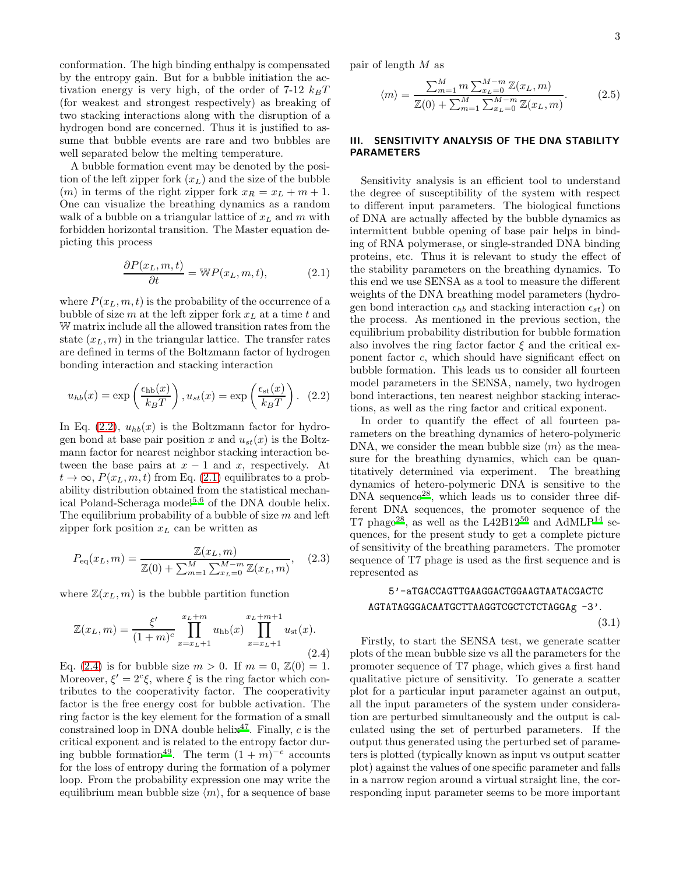conformation. The high binding enthalpy is compensated by the entropy gain. But for a bubble initiation the activation energy is very high, of the order of  $7-12$   $k_BT$ (for weakest and strongest respectively) as breaking of two stacking interactions along with the disruption of a hydrogen bond are concerned. Thus it is justified to assume that bubble events are rare and two bubbles are well separated below the melting temperature.

A bubble formation event may be denoted by the position of the left zipper fork  $(x_L)$  and the size of the bubble  $(m)$  in terms of the right zipper fork  $x_R = x_L + m + 1$ . One can visualize the breathing dynamics as a random walk of a bubble on a triangular lattice of  $x<sub>L</sub>$  and m with forbidden horizontal transition. The Master equation depicting this process

<span id="page-2-1"></span>
$$
\frac{\partial P(x_L, m, t)}{\partial t} = \mathbb{W}P(x_L, m, t),\tag{2.1}
$$

where  $P(x_L, m, t)$  is the probability of the occurrence of a bubble of size m at the left zipper fork  $x<sub>L</sub>$  at a time t and W matrix include all the allowed transition rates from the state  $(x_L, m)$  in the triangular lattice. The transfer rates are defined in terms of the Boltzmann factor of hydrogen bonding interaction and stacking interaction

<span id="page-2-0"></span>
$$
u_{hb}(x) = \exp\left(\frac{\epsilon_{hb}(x)}{k_B T}\right), u_{st}(x) = \exp\left(\frac{\epsilon_{st}(x)}{k_B T}\right). \tag{2.2}
$$

In Eq. [\(2.2\)](#page-2-0),  $u_{hb}(x)$  is the Boltzmann factor for hydrogen bond at base pair position x and  $u_{st}(x)$  is the Boltzmann factor for nearest neighbor stacking interaction between the base pairs at  $x - 1$  and x, respectively. At  $t \to \infty$ ,  $P(x_L, m, t)$  from Eq. [\(2.1\)](#page-2-1) equilibrates to a probability distribution obtained from the statistical mechan-ical Poland-Scheraga model<sup>[5](#page-8-8)[,6](#page-8-2)</sup> of the DNA double helix. The equilibrium probability of a bubble of size  $m$  and left zipper fork position  $x_L$  can be written as

<span id="page-2-4"></span>
$$
P_{\text{eq}}(x_L, m) = \frac{\mathbb{Z}(x_L, m)}{\mathbb{Z}(0) + \sum_{m=1}^{M} \sum_{x_L=0}^{M-m} \mathbb{Z}(x_L, m)},
$$
 (2.3)

where  $\mathbb{Z}(x_L, m)$  is the bubble partition function

<span id="page-2-2"></span>
$$
\mathbb{Z}(x_L, m) = \frac{\xi'}{(1+m)^c} \prod_{x=x_L+1}^{x_L+m} u_{\text{hb}}(x) \prod_{x=x_L+1}^{x_L+m+1} u_{\text{st}}(x).
$$
\n(2.4)

Eq. [\(2.4\)](#page-2-2) is for bubble size  $m > 0$ . If  $m = 0, Z(0) = 1$ . Moreover,  $\xi' = 2^c \xi$ , where  $\xi$  is the ring factor which contributes to the cooperativity factor. The cooperativity factor is the free energy cost for bubble activation. The ring factor is the key element for the formation of a small constrained loop in DNA double helix<sup>[47](#page-9-26)</sup>. Finally,  $c$  is the critical exponent and is related to the entropy factor dur-ing bubble formation<sup>[49](#page-9-27)</sup>. The term  $(1 + m)^{-c}$  accounts for the loss of entropy during the formation of a polymer loop. From the probability expression one may write the equilibrium mean bubble size  $\langle m \rangle$ , for a sequence of base pair of length M as

<span id="page-2-3"></span>
$$
\langle m \rangle = \frac{\sum_{m=1}^{M} m \sum_{x_L=0}^{M-m} \mathbb{Z}(x_L, m)}{\mathbb{Z}(0) + \sum_{m=1}^{M} \sum_{x_L=0}^{M-m} \mathbb{Z}(x_L, m)}.
$$
 (2.5)

### III. SENSITIVITY ANALYSIS OF THE DNA STABILITY PARAMETERS

Sensitivity analysis is an efficient tool to understand the degree of susceptibility of the system with respect to different input parameters. The biological functions of DNA are actually affected by the bubble dynamics as intermittent bubble opening of base pair helps in binding of RNA polymerase, or single-stranded DNA binding proteins, etc. Thus it is relevant to study the effect of the stability parameters on the breathing dynamics. To this end we use SENSA as a tool to measure the different weights of the DNA breathing model parameters (hydrogen bond interaction  $\epsilon_{hb}$  and stacking interaction  $\epsilon_{st}$ ) on the process. As mentioned in the previous section, the equilibrium probability distribution for bubble formation also involves the ring factor factor  $\xi$  and the critical exponent factor c, which should have significant effect on bubble formation. This leads us to consider all fourteen model parameters in the SENSA, namely, two hydrogen bond interactions, ten nearest neighbor stacking interactions, as well as the ring factor and critical exponent.

In order to quantify the effect of all fourteen parameters on the breathing dynamics of hetero-polymeric DNA, we consider the mean bubble size  $\langle m \rangle$  as the measure for the breathing dynamics, which can be quantitatively determined via experiment. The breathing dynamics of hetero-polymeric DNA is sensitive to the  $DNA$  sequence<sup>[28](#page-9-7)</sup>, which leads us to consider three different DNA sequences, the promoter sequence of the T7 phage<sup>[28](#page-9-7)</sup>, as well as the  $L42B12^{50}$  $L42B12^{50}$  $L42B12^{50}$  and  $AdMLP^{14}$  $AdMLP^{14}$  $AdMLP^{14}$  sequences, for the present study to get a complete picture of sensitivity of the breathing parameters. The promoter sequence of T7 phage is used as the first sequence and is represented as

# 5'-aTGACCAGTTGAAGGACTGGAAGTAATACGACTC AGTATAGGGACAATGCTTAAGGTCGCTCTCTAGGAg -3'. (3.1)

Firstly, to start the SENSA test, we generate scatter plots of the mean bubble size vs all the parameters for the promoter sequence of T7 phage, which gives a first hand qualitative picture of sensitivity. To generate a scatter plot for a particular input parameter against an output, all the input parameters of the system under consideration are perturbed simultaneously and the output is calculated using the set of perturbed parameters. If the output thus generated using the perturbed set of parameters is plotted (typically known as input vs output scatter plot) against the values of one specific parameter and falls in a narrow region around a virtual straight line, the corresponding input parameter seems to be more important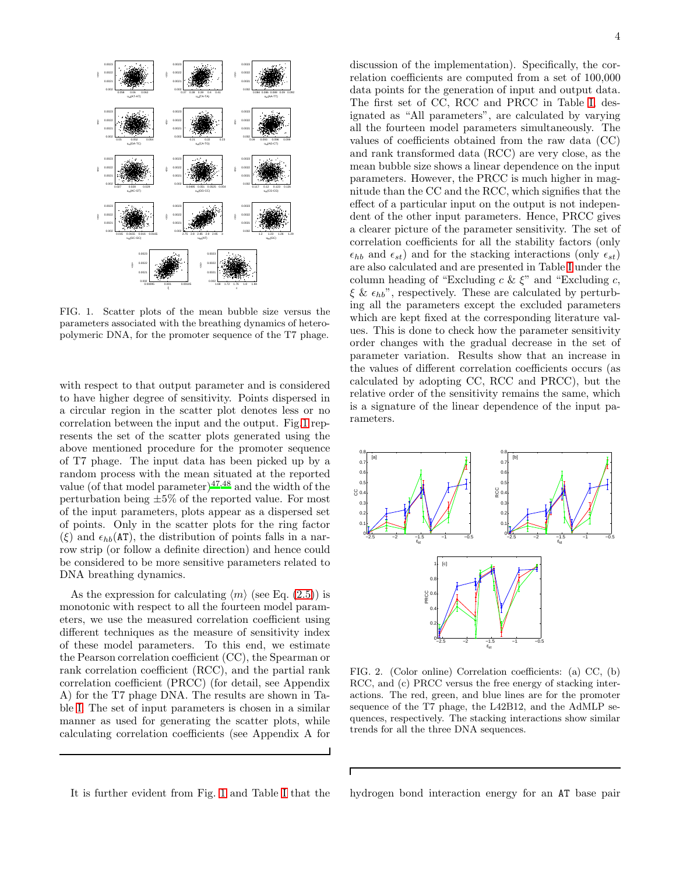

<span id="page-3-0"></span>FIG. 1. Scatter plots of the mean bubble size versus the parameters associated with the breathing dynamics of heteropolymeric DNA, for the promoter sequence of the T7 phage.

with respect to that output parameter and is considered to have higher degree of sensitivity. Points dispersed in a circular region in the scatter plot denotes less or no correlation between the input and the output. Fig[.1](#page-3-0) represents the set of the scatter plots generated using the above mentioned procedure for the promoter sequence of T7 phage. The input data has been picked up by a random process with the mean situated at the reported value (of that model parameter)<sup>[47](#page-9-26)[,48](#page-9-29)</sup> and the width of the perturbation being  $\pm 5\%$  of the reported value. For most of the input parameters, plots appear as a dispersed set of points. Only in the scatter plots for the ring factor  $(\xi)$  and  $\epsilon_{hb}$ (AT), the distribution of points falls in a narrow strip (or follow a definite direction) and hence could be considered to be more sensitive parameters related to DNA breathing dynamics.

As the expression for calculating  $\langle m \rangle$  (see Eq. [\(2.5\)](#page-2-3)) is monotonic with respect to all the fourteen model parameters, we use the measured correlation coefficient using different techniques as the measure of sensitivity index of these model parameters. To this end, we estimate the Pearson correlation coefficient (CC), the Spearman or rank correlation coefficient (RCC), and the partial rank correlation coefficient (PRCC) (for detail, see Appendix A) for the T7 phage DNA. The results are shown in Table [I.](#page-4-0) The set of input parameters is chosen in a similar manner as used for generating the scatter plots, while calculating correlation coefficients (see Appendix A for

discussion of the implementation). Specifically, the correlation coefficients are computed from a set of 100,000 data points for the generation of input and output data. The first set of CC, RCC and PRCC in Table [I,](#page-4-0) designated as "All parameters", are calculated by varying all the fourteen model parameters simultaneously. The values of coefficients obtained from the raw data (CC) and rank transformed data (RCC) are very close, as the mean bubble size shows a linear dependence on the input parameters. However, the PRCC is much higher in magnitude than the CC and the RCC, which signifies that the effect of a particular input on the output is not independent of the other input parameters. Hence, PRCC gives a clearer picture of the parameter sensitivity. The set of correlation coefficients for all the stability factors (only  $\epsilon_{hb}$  and  $\epsilon_{st}$ ) and for the stacking interactions (only  $\epsilon_{st}$ ) are also calculated and are presented in Table [I](#page-4-0) under the column heading of "Excluding  $c \& \xi$ " and "Excluding  $c$ ,  $\xi \& \epsilon_{hb}$ ", respectively. These are calculated by perturbing all the parameters except the excluded parameters which are kept fixed at the corresponding literature values. This is done to check how the parameter sensitivity order changes with the gradual decrease in the set of parameter variation. Results show that an increase in the values of different correlation coefficients occurs (as calculated by adopting CC, RCC and PRCC), but the relative order of the sensitivity remains the same, which is a signature of the linear dependence of the input parameters.



<span id="page-3-1"></span>FIG. 2. (Color online) Correlation coefficients: (a) CC, (b) RCC, and (c) PRCC versus the free energy of stacking interactions. The red, green, and blue lines are for the promoter sequence of the T7 phage, the L42B12, and the AdMLP sequences, respectively. The stacking interactions show similar trends for all the three DNA sequences.

It is further evident from Fig. [1](#page-3-0) and Table [I](#page-4-0) that the hydrogen bond interaction energy for an AT base pair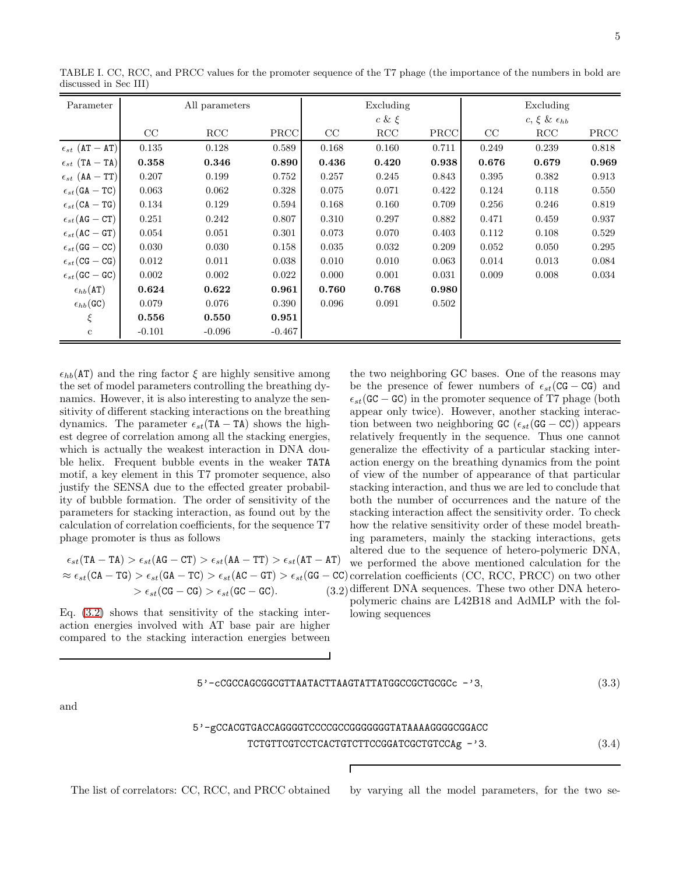| Parameter                                  |          | All parameters |          |       | Excluding    |       |       | Excluding                 |             |
|--------------------------------------------|----------|----------------|----------|-------|--------------|-------|-------|---------------------------|-------------|
|                                            |          |                |          |       | $c \& \xi$   |       |       | $c, \xi \& \epsilon_{hb}$ |             |
|                                            | CC       | $_{\rm RCC}$   | PRCC     | CC    | $_{\rm RCC}$ | PRCC  | CC    | $_{\rm RCC}$              | <b>PRCC</b> |
| $\epsilon_{st}$ (AT $-$ AT)                | 0.135    | 0.128          | 0.589    | 0.168 | 0.160        | 0.711 | 0.249 | 0.239                     | 0.818       |
| $\epsilon_{st}$ (TA $-$ TA)                | 0.358    | 0.346          | 0.890    | 0.436 | 0.420        | 0.938 | 0.676 | 0.679                     | 0.969       |
| $\epsilon_{st}$ (AA – TT)                  | 0.207    | 0.199          | 0.752    | 0.257 | 0.245        | 0.843 | 0.395 | 0.382                     | 0.913       |
| $\epsilon_{st}(\texttt{GA} - \texttt{TC})$ | 0.063    | 0.062          | 0.328    | 0.075 | 0.071        | 0.422 | 0.124 | 0.118                     | 0.550       |
| $\epsilon_{st}$ (CA – TG)                  | 0.134    | 0.129          | 0.594    | 0.168 | 0.160        | 0.709 | 0.256 | 0.246                     | 0.819       |
| $\epsilon_{st}$ (AG – CT)                  | 0.251    | 0.242          | 0.807    | 0.310 | 0.297        | 0.882 | 0.471 | 0.459                     | 0.937       |
| $\epsilon_{st}$ (AC – GT)                  | 0.054    | 0.051          | 0.301    | 0.073 | 0.070        | 0.403 | 0.112 | 0.108                     | 0.529       |
| $\epsilon_{st}(\texttt{GG}-\texttt{CC})$   | 0.030    | 0.030          | 0.158    | 0.035 | 0.032        | 0.209 | 0.052 | 0.050                     | 0.295       |
| $\epsilon_{st}$ (CG – CG)                  | 0.012    | 0.011          | 0.038    | 0.010 | 0.010        | 0.063 | 0.014 | 0.013                     | 0.084       |
| $\epsilon_{st}(\texttt{GC}-\texttt{GC})$   | 0.002    | 0.002          | 0.022    | 0.000 | 0.001        | 0.031 | 0.009 | 0.008                     | 0.034       |
| $\epsilon_{hb}(\texttt{AT})$               | 0.624    | 0.622          | 0.961    | 0.760 | 0.768        | 0.980 |       |                           |             |
| $\epsilon_{hb}$ (GC)                       | 0.079    | 0.076          | 0.390    | 0.096 | 0.091        | 0.502 |       |                           |             |
| ξ                                          | 0.556    | 0.550          | 0.951    |       |              |       |       |                           |             |
| $\mathbf{c}$                               | $-0.101$ | $-0.096$       | $-0.467$ |       |              |       |       |                           |             |

<span id="page-4-0"></span>TABLE I. CC, RCC, and PRCC values for the promoter sequence of the T7 phage (the importance of the numbers in bold are discussed in Sec III)

 $\epsilon_{hb}$ (AT) and the ring factor  $\xi$  are highly sensitive among the set of model parameters controlling the breathing dynamics. However, it is also interesting to analyze the sensitivity of different stacking interactions on the breathing dynamics. The parameter  $\epsilon_{st}$ (TA – TA) shows the highest degree of correlation among all the stacking energies, which is actually the weakest interaction in DNA double helix. Frequent bubble events in the weaker TATA motif, a key element in this T7 promoter sequence, also justify the SENSA due to the effected greater probability of bubble formation. The order of sensitivity of the parameters for stacking interaction, as found out by the calculation of correlation coefficients, for the sequence T7 phage promoter is thus as follows

<span id="page-4-1"></span>
$$
\epsilon_{st}(\text{TA} - \text{TA}) > \epsilon_{st}(\text{AG} - \text{CT}) > \epsilon_{st}(\text{AA} - \text{TT}) > \epsilon_{st}(\text{AT} - \text{AT})
$$
  
\n
$$
\approx \epsilon_{st}(\text{CA} - \text{TG}) > \epsilon_{st}(\text{GA} - \text{TC}) > \epsilon_{st}(\text{AC} - \text{GT}) > \epsilon_{st}(\text{GG} - \text{CC})
$$
  
\n
$$
> \epsilon_{st}(\text{CG} - \text{CG}) > \epsilon_{st}(\text{GC} - \text{GC}).
$$
 (3.2)

Eq.  $(3.2)$  shows that sensitivity of the stacking interaction energies involved with AT base pair are higher compared to the stacking interaction energies between

the two neighboring GC bases. One of the reasons may be the presence of fewer numbers of  $\epsilon_{st}$ (CG – CG) and  $\epsilon_{st}$ (GC – GC) in the promoter sequence of T7 phage (both appear only twice). However, another stacking interaction between two neighboring GC ( $\epsilon_{st}$ (GG – CC)) appears relatively frequently in the sequence. Thus one cannot generalize the effectivity of a particular stacking interaction energy on the breathing dynamics from the point of view of the number of appearance of that particular stacking interaction, and thus we are led to conclude that both the number of occurrences and the nature of the stacking interaction affect the sensitivity order. To check how the relative sensitivity order of these model breathing parameters, mainly the stacking interactions, gets altered due to the sequence of hetero-polymeric DNA, we performed the above mentioned calculation for the correlation coefficients (CC, RCC, PRCC) on two other different DNA sequences. These two other DNA heteropolymeric chains are L42B18 and AdMLP with the following sequences

<span id="page-4-2"></span>5'-cCGCCAGCGGCGTTAATACTTAAGTATTATGGCCGCTGCGCc -'3, (3.3)

and

<span id="page-4-3"></span>
$$
5^{\,\prime}-\text{gCCACGTGACCAGGGGTCCCCGCGGGGGGTTATAAAAGGGGGGACC} \\ \text{TCTGTTCGTCACCTGTTCCGGATCGCTGTCCAG} \\ \text{G.4})
$$

The list of correlators: CC, RCC, and PRCC obtained by varying all the model parameters, for the two se-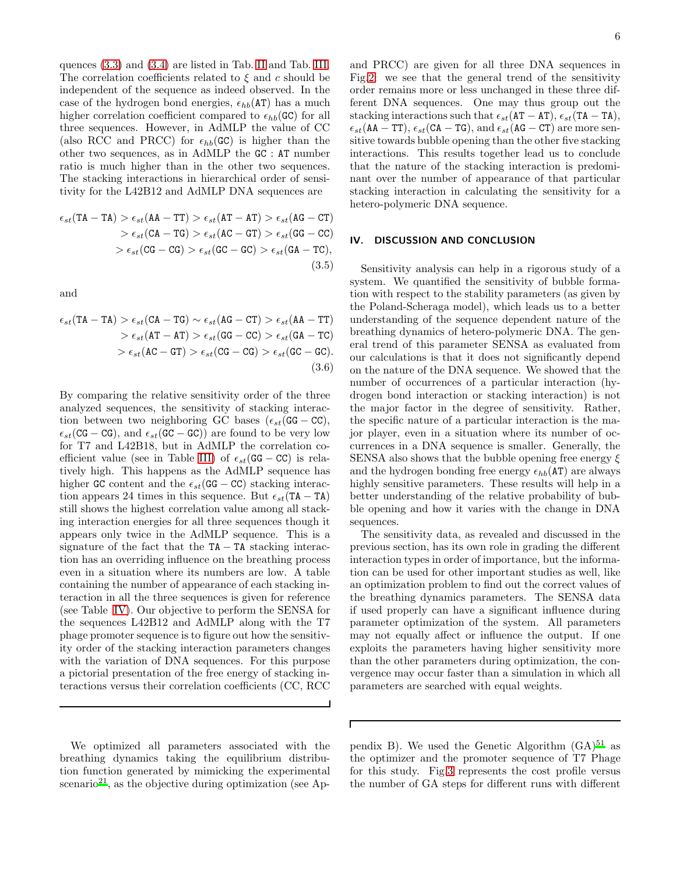quences [\(3.3\)](#page-4-2) and [\(3.4\)](#page-4-3) are listed in Tab. [II](#page-6-0) and Tab. [III.](#page-6-1) The correlation coefficients related to  $\xi$  and c should be independent of the sequence as indeed observed. In the case of the hydrogen bond energies,  $\epsilon_{hb}$ (AT) has a much higher correlation coefficient compared to  $\epsilon_{hb}(\texttt{GC})$  for all three sequences. However, in AdMLP the value of CC (also RCC and PRCC) for  $\epsilon_{hb}(\texttt{GC})$  is higher than the other two sequences, as in AdMLP the GC : AT number ratio is much higher than in the other two sequences. The stacking interactions in hierarchical order of sensitivity for the L42B12 and AdMLP DNA sequences are

$$
\epsilon_{st}(\text{TA} - \text{TA}) > \epsilon_{st}(\text{AA} - \text{TT}) > \epsilon_{st}(\text{AT} - \text{AT}) > \epsilon_{st}(\text{AG} - \text{CT})
$$
  
> 
$$
\epsilon_{st}(\text{CA} - \text{TG}) > \epsilon_{st}(\text{AC} - \text{GT}) > \epsilon_{st}(\text{GG} - \text{CC})
$$
  
> 
$$
\epsilon_{st}(\text{CG} - \text{CG}) > \epsilon_{st}(\text{GC} - \text{GC}) > \epsilon_{st}(\text{GA} - \text{TC}),
$$
  
(3.5)

and

$$
\epsilon_{st}(\text{TA} - \text{TA}) > \epsilon_{st}(\text{CA} - \text{TG}) \sim \epsilon_{st}(\text{AG} - \text{CT}) > \epsilon_{st}(\text{AA} - \text{TT})
$$
  
> 
$$
\epsilon_{st}(\text{AT} - \text{AT}) > \epsilon_{st}(\text{GG} - \text{CC}) > \epsilon_{st}(\text{GA} - \text{TC})
$$
  
> 
$$
\epsilon_{st}(\text{AC} - \text{GT}) > \epsilon_{st}(\text{CG} - \text{CG}) > \epsilon_{st}(\text{GC} - \text{GC}).
$$
  
(3.6)

By comparing the relative sensitivity order of the three analyzed sequences, the sensitivity of stacking interaction between two neighboring GC bases ( $\epsilon_{st}$ (GG – CC),  $\epsilon_{st}$ (CG – CG), and  $\epsilon_{st}$ (CC – GC)) are found to be very low for T7 and L42B18, but in AdMLP the correlation co-efficient value (see in Table [III\)](#page-6-1) of  $\epsilon_{st}$ (GG – CC) is relatively high. This happens as the AdMLP sequence has higher GC content and the  $\epsilon_{st}$ (GG – CC) stacking interaction appears 24 times in this sequence. But  $\epsilon_{st}$ (TA – TA) still shows the highest correlation value among all stacking interaction energies for all three sequences though it appears only twice in the AdMLP sequence. This is a signature of the fact that the  $TA - TA$  stacking interaction has an overriding influence on the breathing process even in a situation where its numbers are low. A table containing the number of appearance of each stacking interaction in all the three sequences is given for reference (see Table [IV\)](#page-7-0). Our objective to perform the SENSA for the sequences L42B12 and AdMLP along with the T7 phage promoter sequence is to figure out how the sensitivity order of the stacking interaction parameters changes with the variation of DNA sequences. For this purpose a pictorial presentation of the free energy of stacking interactions versus their correlation coefficients (CC, RCC

We optimized all parameters associated with the breathing dynamics taking the equilibrium distribution function generated by mimicking the experimental scenario<sup>[21](#page-9-3)</sup>, as the objective during optimization (see Apand PRCC) are given for all three DNA sequences in Fig[.2:](#page-3-1) we see that the general trend of the sensitivity order remains more or less unchanged in these three different DNA sequences. One may thus group out the stacking interactions such that  $\epsilon_{st}$ (AT – AT),  $\epsilon_{st}$ (TA – TA),  $\epsilon_{st}$ (AA – TT),  $\epsilon_{st}$ (CA – TG), and  $\epsilon_{st}$ (AG – CT) are more sensitive towards bubble opening than the other five stacking interactions. This results together lead us to conclude that the nature of the stacking interaction is predominant over the number of appearance of that particular stacking interaction in calculating the sensitivity for a hetero-polymeric DNA sequence.

### IV. DISCUSSION AND CONCLUSION

Sensitivity analysis can help in a rigorous study of a system. We quantified the sensitivity of bubble formation with respect to the stability parameters (as given by the Poland-Scheraga model), which leads us to a better understanding of the sequence dependent nature of the breathing dynamics of hetero-polymeric DNA. The general trend of this parameter SENSA as evaluated from our calculations is that it does not significantly depend on the nature of the DNA sequence. We showed that the number of occurrences of a particular interaction (hydrogen bond interaction or stacking interaction) is not the major factor in the degree of sensitivity. Rather, the specific nature of a particular interaction is the major player, even in a situation where its number of occurrences in a DNA sequence is smaller. Generally, the SENSA also shows that the bubble opening free energy  $\xi$ and the hydrogen bonding free energy  $\epsilon_{hb}$  (AT) are always highly sensitive parameters. These results will help in a better understanding of the relative probability of bubble opening and how it varies with the change in DNA sequences.

The sensitivity data, as revealed and discussed in the previous section, has its own role in grading the different interaction types in order of importance, but the information can be used for other important studies as well, like an optimization problem to find out the correct values of the breathing dynamics parameters. The SENSA data if used properly can have a significant influence during parameter optimization of the system. All parameters may not equally affect or influence the output. If one exploits the parameters having higher sensitivity more than the other parameters during optimization, the convergence may occur faster than a simulation in which all parameters are searched with equal weights.

pendix B). We used the Genetic Algorithm  $(GA)^{51}$  $(GA)^{51}$  $(GA)^{51}$  as the optimizer and the promoter sequence of T7 Phage for this study. Fig[.3](#page-7-1) represents the cost profile versus the number of GA steps for different runs with different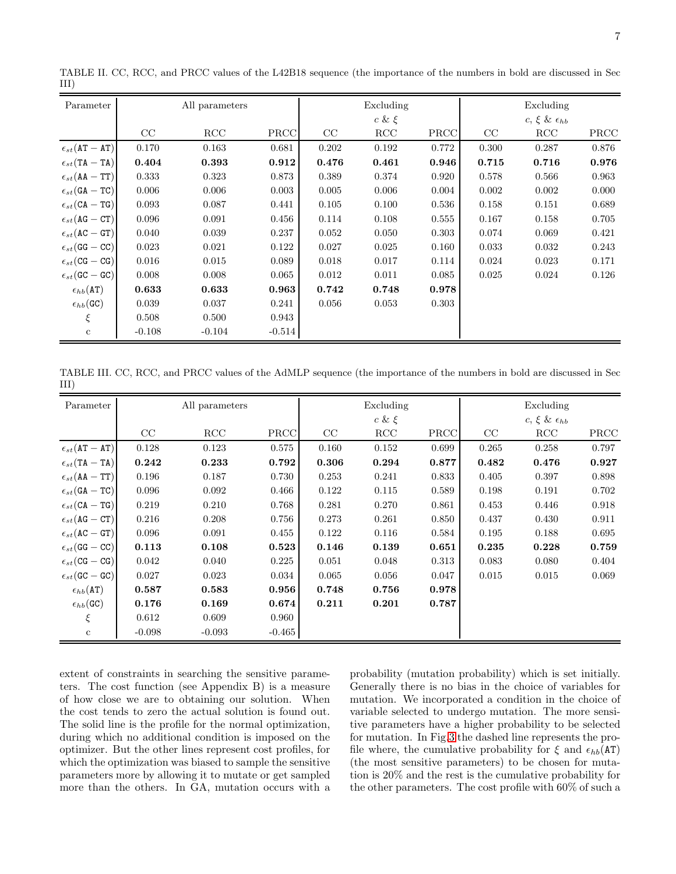| Parameter                                |          | All parameters |          |       | Excluding    |             |       | Excluding                 |       |
|------------------------------------------|----------|----------------|----------|-------|--------------|-------------|-------|---------------------------|-------|
|                                          |          |                |          |       | $c \& \xi$   |             |       | $c, \xi \& \epsilon_{hb}$ |       |
|                                          | CC       | $_{\rm RCC}$   | PRCC     | CC    | $_{\rm RCC}$ | <b>PRCC</b> | CC    | RCC                       | PRCC  |
| $\epsilon_{st}$ (AT – AT)                | 0.170    | 0.163          | 0.681    | 0.202 | 0.192        | 0.772       | 0.300 | 0.287                     | 0.876 |
| $\epsilon_{st}$ (TA – TA)                | 0.404    | 0.393          | 0.912    | 0.476 | 0.461        | 0.946       | 0.715 | 0.716                     | 0.976 |
| $\epsilon_{st}$ (AA – TT)                | 0.333    | 0.323          | 0.873    | 0.389 | 0.374        | 0.920       | 0.578 | 0.566                     | 0.963 |
| $\epsilon_{st}$ (GA – TC)                | 0.006    | 0.006          | 0.003    | 0.005 | 0.006        | 0.004       | 0.002 | 0.002                     | 0.000 |
| $\epsilon_{st}$ (CA – TG)                | 0.093    | 0.087          | 0.441    | 0.105 | 0.100        | 0.536       | 0.158 | 0.151                     | 0.689 |
| $\epsilon_{st}$ (AG – CT)                | 0.096    | 0.091          | 0.456    | 0.114 | 0.108        | 0.555       | 0.167 | 0.158                     | 0.705 |
| $\epsilon_{st}$ (AC – GT)                | 0.040    | 0.039          | 0.237    | 0.052 | 0.050        | 0.303       | 0.074 | 0.069                     | 0.421 |
| $\epsilon_{st}$ (GG $-$ CC)              | 0.023    | 0.021          | 0.122    | 0.027 | 0.025        | 0.160       | 0.033 | 0.032                     | 0.243 |
| $\epsilon_{st}$ (CG – CG)                | 0.016    | 0.015          | 0.089    | 0.018 | 0.017        | 0.114       | 0.024 | 0.023                     | 0.171 |
| $\epsilon_{st}(\texttt{GC}-\texttt{GC})$ | 0.008    | 0.008          | 0.065    | 0.012 | 0.011        | 0.085       | 0.025 | 0.024                     | 0.126 |
| $\epsilon_{hb}$ (AT)                     | 0.633    | 0.633          | 0.963    | 0.742 | 0.748        | 0.978       |       |                           |       |
| $\epsilon_{hb}$ (GC)                     | 0.039    | 0.037          | 0.241    | 0.056 | 0.053        | 0.303       |       |                           |       |
| ξ                                        | 0.508    | 0.500          | 0.943    |       |              |             |       |                           |       |
| $\mathbf c$                              | $-0.108$ | $-0.104$       | $-0.514$ |       |              |             |       |                           |       |

<span id="page-6-0"></span>TABLE II. CC, RCC, and PRCC values of the L42B18 sequence (the importance of the numbers in bold are discussed in Sec III)

<span id="page-6-1"></span>TABLE III. CC, RCC, and PRCC values of the AdMLP sequence (the importance of the numbers in bold are discussed in Sec III)

| Parameter                   |          | All parameters |          |       | Excluding  |       |       | Excluding                 |       |
|-----------------------------|----------|----------------|----------|-------|------------|-------|-------|---------------------------|-------|
|                             |          |                |          |       | $c \& \xi$ |       |       | $c, \xi \& \epsilon_{hb}$ |       |
|                             | CC       | $_{\rm RCC}$   | PRCC     | CC    | RCC        | PRCC  | CC    | $_{\rm RCC}$              | PRCC  |
| $\epsilon_{st}$ (AT – AT)   | 0.128    | 0.123          | 0.575    | 0.160 | 0.152      | 0.699 | 0.265 | 0.258                     | 0.797 |
| $\epsilon_{st}$ (TA – TA)   | 0.242    | 0.233          | 0.792    | 0.306 | 0.294      | 0.877 | 0.482 | 0.476                     | 0.927 |
| $\epsilon_{st}$ (AA – TT)   | 0.196    | 0.187          | 0.730    | 0.253 | 0.241      | 0.833 | 0.405 | 0.397                     | 0.898 |
| $\epsilon_{st}$ (GA – TC)   | 0.096    | 0.092          | 0.466    | 0.122 | 0.115      | 0.589 | 0.198 | 0.191                     | 0.702 |
| $\epsilon_{st}$ (CA – TG)   | 0.219    | 0.210          | 0.768    | 0.281 | 0.270      | 0.861 | 0.453 | 0.446                     | 0.918 |
| $\epsilon_{st}$ (AG – CT)   | 0.216    | 0.208          | 0.756    | 0.273 | 0.261      | 0.850 | 0.437 | 0.430                     | 0.911 |
| $\epsilon_{st}$ (AC – GT)   | 0.096    | 0.091          | 0.455    | 0.122 | 0.116      | 0.584 | 0.195 | 0.188                     | 0.695 |
| $\epsilon_{st}$ (GG $-$ CC) | 0.113    | 0.108          | 0.523    | 0.146 | 0.139      | 0.651 | 0.235 | 0.228                     | 0.759 |
| $\epsilon_{st}$ (CG – CG)   | 0.042    | 0.040          | 0.225    | 0.051 | 0.048      | 0.313 | 0.083 | 0.080                     | 0.404 |
| $\epsilon_{st}$ (GC $-$ GC) | 0.027    | 0.023          | 0.034    | 0.065 | 0.056      | 0.047 | 0.015 | 0.015                     | 0.069 |
| $\epsilon_{hb}$ (AT)        | 0.587    | 0.583          | 0.956    | 0.748 | 0.756      | 0.978 |       |                           |       |
| $\epsilon_{hb}$ (GC)        | 0.176    | 0.169          | 0.674    | 0.211 | 0.201      | 0.787 |       |                           |       |
| ξ                           | 0.612    | 0.609          | 0.960    |       |            |       |       |                           |       |
| $\mathbf{c}$                | $-0.098$ | $-0.093$       | $-0.465$ |       |            |       |       |                           |       |

extent of constraints in searching the sensitive parameters. The cost function (see Appendix B) is a measure of how close we are to obtaining our solution. When the cost tends to zero the actual solution is found out. The solid line is the profile for the normal optimization, during which no additional condition is imposed on the optimizer. But the other lines represent cost profiles, for which the optimization was biased to sample the sensitive parameters more by allowing it to mutate or get sampled more than the others. In GA, mutation occurs with a probability (mutation probability) which is set initially. Generally there is no bias in the choice of variables for mutation. We incorporated a condition in the choice of variable selected to undergo mutation. The more sensitive parameters have a higher probability to be selected for mutation. In Fig[.3](#page-7-1) the dashed line represents the profile where, the cumulative probability for  $\xi$  and  $\epsilon_{hb}(\text{AT})$ (the most sensitive parameters) to be chosen for mutation is 20% and the rest is the cumulative probability for the other parameters. The cost profile with 60% of such a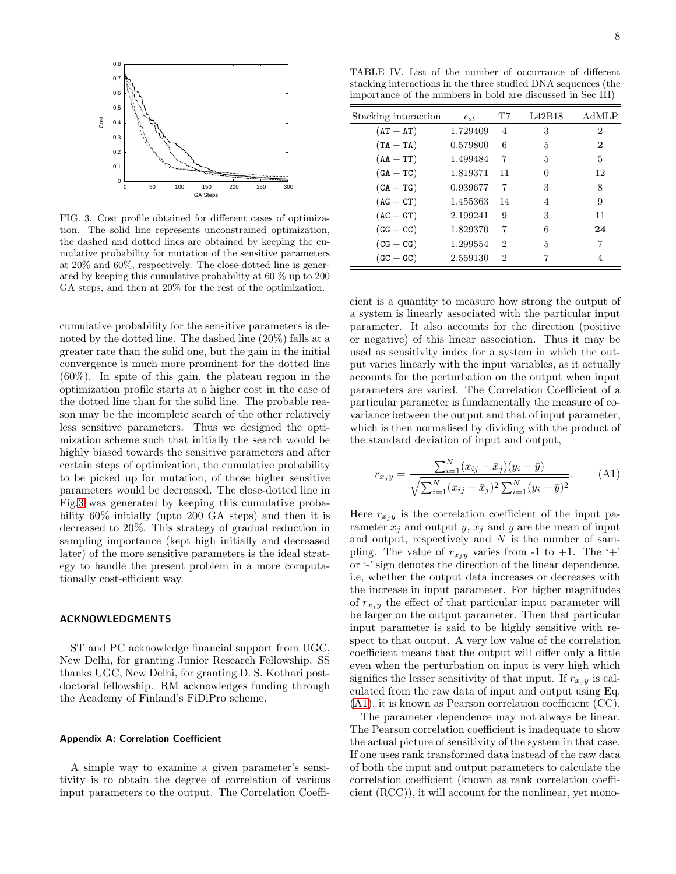

<span id="page-7-1"></span>FIG. 3. Cost profile obtained for different cases of optimization. The solid line represents unconstrained optimization, the dashed and dotted lines are obtained by keeping the cumulative probability for mutation of the sensitive parameters at 20% and 60%, respectively. The close-dotted line is generated by keeping this cumulative probability at 60 % up to 200 GA steps, and then at 20% for the rest of the optimization.

cumulative probability for the sensitive parameters is denoted by the dotted line. The dashed line (20%) falls at a greater rate than the solid one, but the gain in the initial convergence is much more prominent for the dotted line (60%). In spite of this gain, the plateau region in the optimization profile starts at a higher cost in the case of the dotted line than for the solid line. The probable reason may be the incomplete search of the other relatively less sensitive parameters. Thus we designed the optimization scheme such that initially the search would be highly biased towards the sensitive parameters and after certain steps of optimization, the cumulative probability to be picked up for mutation, of those higher sensitive parameters would be decreased. The close-dotted line in Fig[.3](#page-7-1) was generated by keeping this cumulative probability 60% initially (upto 200 GA steps) and then it is decreased to 20%. This strategy of gradual reduction in sampling importance (kept high initially and decreased later) of the more sensitive parameters is the ideal strategy to handle the present problem in a more computationally cost-efficient way.

## ACKNOWLEDGMENTS

ST and PC acknowledge financial support from UGC, New Delhi, for granting Junior Research Fellowship. SS thanks UGC, New Delhi, for granting D. S. Kothari postdoctoral fellowship. RM acknowledges funding through the Academy of Finland's FiDiPro scheme.

### Appendix A: Correlation Coefficient

A simple way to examine a given parameter's sensitivity is to obtain the degree of correlation of various input parameters to the output. The Correlation Coeffi-

<span id="page-7-0"></span>TABLE IV. List of the number of occurrance of different stacking interactions in the three studied DNA sequences (the importance of the numbers in bold are discussed in Sec III)

| Stacking interaction | $\epsilon_{st}$ | T7 | L <sub>42</sub> B <sub>18</sub> | AdMLP                       |
|----------------------|-----------------|----|---------------------------------|-----------------------------|
| $(AT - AT)$          | 1.729409        | 4  | 3                               | $\mathcal{D}_{\mathcal{L}}$ |
| $(TA - TA)$          | 0.579800        | 6  | 5                               | $\bf{2}$                    |
| $(AA - TT)$          | 1.499484        | 7  | 5                               | 5                           |
| $(GA - TC)$          | 1.819371        | 11 | $\mathbf{0}$                    | 12                          |
| $(CA - TG)$          | 0.939677        | 7  | 3                               | 8                           |
| $(AG - CT)$          | 1.455363        | 14 | 4                               | 9                           |
| $(AC - GT)$          | 2.199241        | 9  | 3                               | 11                          |
| $(GG - CC)$          | 1.829370        | 7  | 6                               | 24                          |
| $(CG - CG)$          | 1.299554        | 2  | 5                               | 7                           |
| $(GC - GC)$          | 2.559130        | 2  |                                 |                             |

cient is a quantity to measure how strong the output of a system is linearly associated with the particular input parameter. It also accounts for the direction (positive or negative) of this linear association. Thus it may be used as sensitivity index for a system in which the output varies linearly with the input variables, as it actually accounts for the perturbation on the output when input parameters are varied. The Correlation Coefficient of a particular parameter is fundamentally the measure of covariance between the output and that of input parameter, which is then normalised by dividing with the product of the standard deviation of input and output,

<span id="page-7-2"></span>
$$
r_{x_j y} = \frac{\sum_{i=1}^{N} (x_{ij} - \bar{x}_j)(y_i - \bar{y})}{\sqrt{\sum_{i=1}^{N} (x_{ij} - \bar{x}_j)^2 \sum_{i=1}^{N} (y_i - \bar{y})^2}}.
$$
 (A1)

Here  $r_{x,y}$  is the correlation coefficient of the input parameter  $x_j$  and output  $y, \bar{x}_j$  and  $\bar{y}$  are the mean of input and output, respectively and  $N$  is the number of sampling. The value of  $r_{x_j y}$  varies from -1 to +1. The '+' or '-' sign denotes the direction of the linear dependence, i.e, whether the output data increases or decreases with the increase in input parameter. For higher magnitudes of  $r_{x,y}$  the effect of that particular input parameter will be larger on the output parameter. Then that particular input parameter is said to be highly sensitive with respect to that output. A very low value of the correlation coefficient means that the output will differ only a little even when the perturbation on input is very high which signifies the lesser sensitivity of that input. If  $r_{x_i y}$  is calculated from the raw data of input and output using Eq. [\(A1\)](#page-7-2), it is known as Pearson correlation coefficient (CC).

The parameter dependence may not always be linear. The Pearson correlation coefficient is inadequate to show the actual picture of sensitivity of the system in that case. If one uses rank transformed data instead of the raw data of both the input and output parameters to calculate the correlation coefficient (known as rank correlation coefficient (RCC)), it will account for the nonlinear, yet mono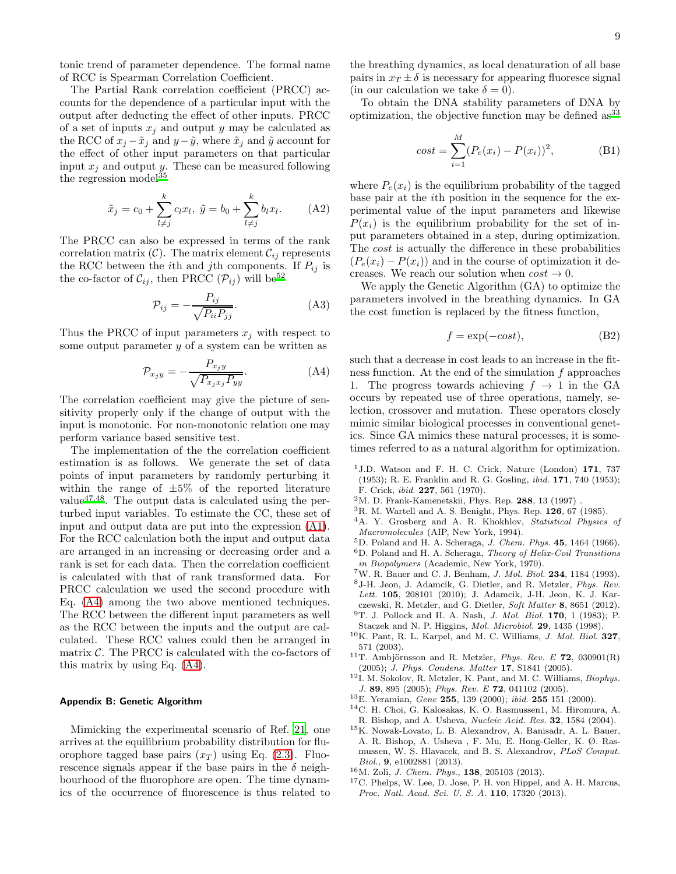tonic trend of parameter dependence. The formal name of RCC is Spearman Correlation Coefficient.

The Partial Rank correlation coefficient (PRCC) accounts for the dependence of a particular input with the output after deducting the effect of other inputs. PRCC of a set of inputs  $x_i$  and output y may be calculated as the RCC of  $x_j - \tilde{x}_j$  and  $y - \tilde{y}$ , where  $\tilde{x}_j$  and  $\tilde{y}$  account for the effect of other input parameters on that particular input  $x_i$  and output y. These can be measured following the regression model<sup>[35](#page-9-14)</sup>

$$
\tilde{x}_j = c_0 + \sum_{l \neq j}^{k} c_l x_l, \ \tilde{y} = b_0 + \sum_{l \neq j}^{k} b_l x_l.
$$
 (A2)

The PRCC can also be expressed in terms of the rank correlation matrix  $(C)$ . The matrix element  $C_{ij}$  represents the RCC between the *i*th and *j*th components. If  $P_{ij}$  is the co-factor of  $C_{ij}$ , then PRCC  $(\mathcal{P}_{ij})$  will be<sup>[52](#page-9-31)</sup>

$$
\mathcal{P}_{ij} = -\frac{P_{ij}}{\sqrt{P_{ii}P_{jj}}}.\tag{A3}
$$

Thus the PRCC of input parameters  $x_j$  with respect to some output parameter y of a system can be written as

<span id="page-8-10"></span>
$$
\mathcal{P}_{x_j y} = -\frac{P_{x_j y}}{\sqrt{P_{x_j x_j} P_{yy}}}.\tag{A4}
$$

The correlation coefficient may give the picture of sensitivity properly only if the change of output with the input is monotonic. For non-monotonic relation one may perform variance based sensitive test.

The implementation of the the correlation coefficient estimation is as follows. We generate the set of data points of input parameters by randomly perturbing it within the range of  $\pm 5\%$  of the reported literature value[47](#page-9-26)[,48](#page-9-29). The output data is calculated using the perturbed input variables. To estimate the CC, these set of input and output data are put into the expression [\(A1\)](#page-7-2). For the RCC calculation both the input and output data are arranged in an increasing or decreasing order and a rank is set for each data. Then the correlation coefficient is calculated with that of rank transformed data. For PRCC calculation we used the second procedure with Eq. [\(A4\)](#page-8-10) among the two above mentioned techniques. The RCC between the different input parameters as well as the RCC between the inputs and the output are calculated. These RCC values could then be arranged in matrix  $\mathcal{C}$ . The PRCC is calculated with the co-factors of this matrix by using Eq. [\(A4\)](#page-8-10).

### Appendix B: Genetic Algorithm

Mimicking the experimental scenario of Ref. [21,](#page-9-3) one arrives at the equilibrium probability distribution for fluorophore tagged base pairs  $(x_T)$  using Eq. [\(2.3\)](#page-2-4). Fluorescence signals appear if the base pairs in the  $\delta$  neighbourhood of the fluorophore are open. The time dynamics of the occurrence of fluorescence is thus related to the breathing dynamics, as local denaturation of all base pairs in  $x_T \pm \delta$  is necessary for appearing fluoresce signal (in our calculation we take  $\delta = 0$ ).

To obtain the DNA stability parameters of DNA by optimization, the objective function may be defined  $as<sup>33</sup>$  $as<sup>33</sup>$  $as<sup>33</sup>$ 

$$
cost = \sum_{i=1}^{M} (P_e(x_i) - P(x_i))^2,
$$
 (B1)

where  $P_e(x_i)$  is the equilibrium probability of the tagged base pair at the ith position in the sequence for the experimental value of the input parameters and likewise  $P(x_i)$  is the equilibrium probability for the set of input parameters obtained in a step, during optimization. The cost is actually the difference in these probabilities  $(P_e(x_i) - P(x_i))$  and in the course of optimization it decreases. We reach our solution when  $cost \rightarrow 0$ .

We apply the Genetic Algorithm (GA) to optimize the parameters involved in the breathing dynamics. In GA the cost function is replaced by the fitness function,

$$
f = \exp(-\cos t),\tag{B2}
$$

such that a decrease in cost leads to an increase in the fitness function. At the end of the simulation f approaches 1. The progress towards achieving  $f \rightarrow 1$  in the GA occurs by repeated use of three operations, namely, selection, crossover and mutation. These operators closely mimic similar biological processes in conventional genetics. Since GA mimics these natural processes, it is sometimes referred to as a natural algorithm for optimization.

- <span id="page-8-0"></span><sup>1</sup>J.D. Watson and F. H. C. Crick, Nature (London)  $171$ , 737 (1953); R. E. Franklin and R. G. Gosling, *ibid*. 171, 740 (1953); F. Crick, *ibid*. 227, 561 (1970).
- <span id="page-8-1"></span> $2^{\circ}$ M. D. Frank-Kamenetskii, Phys. Rep. 288, 13 (1997)
- ${}^{3}$ R. M. Wartell and A. S. Benight, Phys. Rep.  $126, 67$  (1985).
- <sup>4</sup>A. Y. Grosberg and A. R. Khokhlov, *Statistical Physics of Macromolecules* (AIP, New York, 1994).
- <span id="page-8-8"></span><span id="page-8-2"></span><sup>5</sup>D. Poland and H. A. Scheraga, *J. Chem. Phys.* 45, 1464 (1966). <sup>6</sup>D. Poland and H. A. Scheraga, *Theory of Helix-Coil Transitions in Biopolymers* (Academic, New York, 1970).
- <span id="page-8-3"></span><sup>7</sup>W. R. Bauer and C. J. Benham, *J. Mol. Biol.* 234, 1184 (1993).
- <span id="page-8-4"></span><sup>8</sup>J-H. Jeon, J. Adamcik, G. Dietler, and R. Metzler, *Phys. Rev. Lett.* 105, 208101 (2010); J. Adamcik, J-H. Jeon, K. J. Karczewski, R. Metzler, and G. Dietler, *Soft Matter* 8, 8651 (2012).
- <span id="page-8-5"></span><sup>9</sup>T. J. Pollock and H. A. Nash, *J. Mol. Biol.* 170, 1 (1983); P. Staczek and N. P. Higgins, *Mol. Microbiol.* 29, 1435 (1998).
- <sup>10</sup>K. Pant, R. L. Karpel, and M. C. Williams, *J. Mol. Biol.* 327, 571 (2003).
- <sup>11</sup>T. Ambjörnsson and R. Metzler, *Phys. Rev. E* 72, 030901(R) (2005); *J. Phys. Condens. Matter* 17, S1841 (2005).
- <sup>12</sup>I. M. Sokolov, R. Metzler, K. Pant, and M. C. Williams, *Biophys. J.* 89, 895 (2005); *Phys. Rev. E* 72, 041102 (2005).
- <sup>13</sup>E. Yeramian, *Gene* 255, 139 (2000); *ibid*. 255 151 (2000).
- <span id="page-8-9"></span><sup>14</sup>C. H. Choi, G. Kalosakas, K. O. Rasmussen1, M. Hiromura, A. R. Bishop, and A. Usheva, *Nucleic Acid. Res.* 32, 1584 (2004).
- <span id="page-8-7"></span><sup>15</sup>K. Nowak-Lovato, L. B. Alexandrov, A. Banisadr, A. L. Bauer, A. R. Bishop, A. Usheva , F. Mu, E. Hong-Geller, K. Ø. Rasmussen, W. S. Hlavacek, and B. S. Alexandrov, *PLoS Comput. Biol.*, 9, e1002881 (2013).
- <sup>16</sup>M. Zoli, *J. Chem. Phys.*, 138, 205103 (2013).
- <span id="page-8-6"></span><sup>17</sup>C. Phelps, W. Lee, D. Jose, P. H. von Hippel, and A. H. Marcus, *Proc. Natl. Acad. Sci. U. S. A.* 110, 17320 (2013).